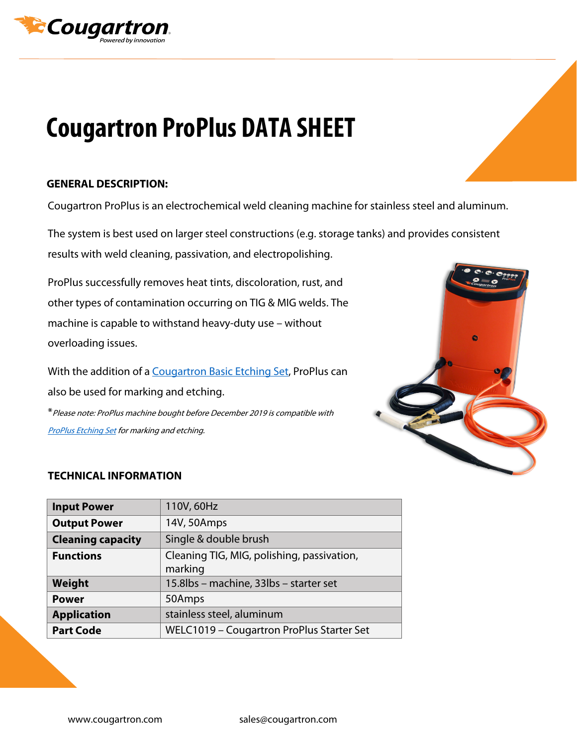

## **Cougartron ProPlus DATA SHEET**

## **GENERAL DESCRIPTION:**

Cougartron ProPlus is an electrochemical weld cleaning machine for stainless steel and aluminum.

The system is best used on larger steel constructions (e.g. storage tanks) and provides consistent results with weld cleaning, passivation, and electropolishing.

ProPlus successfully removes heat tints, discoloration, rust, and other types of contamination occurring on TIG & MIG welds. The machine is capable to withstand heavy-duty use – without overloading issues.

With the addition of [a Cougartron Basic Etching Set,](https://cougartron.com/products/basic-etching-set/) ProPlus can also be used for marking and etching.

\*Please note: ProPlus machine bought before December 2019 is compatible with **[ProPlus Etching Set](https://cougartron.com/products/cougartron-proplus-etching-set/) for marking and etching.** 



## **TECHNICAL INFORMATION**

| <b>Input Power</b>       | 110V, 60Hz                                            |
|--------------------------|-------------------------------------------------------|
| <b>Output Power</b>      | 14V, 50Amps                                           |
| <b>Cleaning capacity</b> | Single & double brush                                 |
| <b>Functions</b>         | Cleaning TIG, MIG, polishing, passivation,<br>marking |
| Weight                   | 15.8lbs - machine, 33lbs - starter set                |
| <b>Power</b>             | 50Amps                                                |
| <b>Application</b>       | stainless steel, aluminum                             |
| <b>Part Code</b>         | WELC1019 - Cougartron ProPlus Starter Set             |